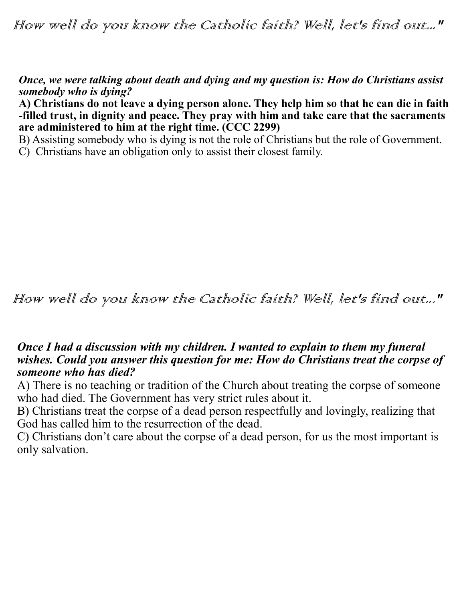How well do you know the Catholic faith? Well, let's find out..."

*Once, we were talking about death and dying and my question is: How do Christians assist somebody who is dying?*

**A) Christians do not leave a dying person alone. They help him so that he can die in faith -filled trust, in dignity and peace. They pray with him and take care that the sacraments are administered to him at the right time. (CCC 2299)**

B) Assisting somebody who is dying is not the role of Christians but the role of Government.

C) Christians have an obligation only to assist their closest family.

How well do you know the Catholic faith? Well, let's find out..."

## *Once I had a discussion with my children. I wanted to explain to them my funeral wishes. Could you answer this question for me: How do Christians treat the corpse of someone who has died?*

A) There is no teaching or tradition of the Church about treating the corpse of someone who had died. The Government has very strict rules about it.

B) Christians treat the corpse of a dead person respectfully and lovingly, realizing that God has called him to the resurrection of the dead.

C) Christians don't care about the corpse of a dead person, for us the most important is only salvation.